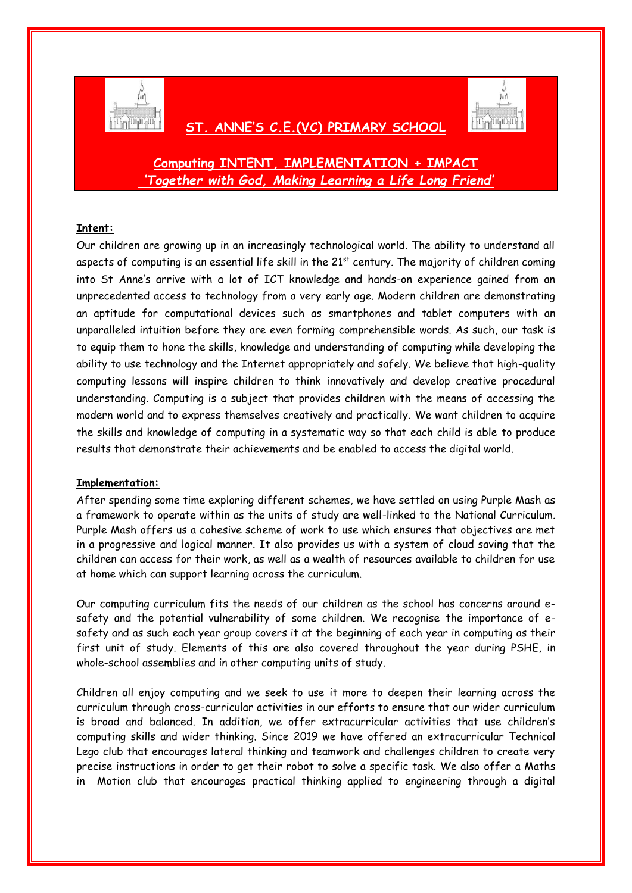

## **ST. ANNE'S C.E.(VC) PRIMARY SCHOOL**



**Computing INTENT, IMPLEMENTATION + IMPACT** *'Together with God, Making Learning a Life Long Friend'*

## **Intent:**

Our children are growing up in an increasingly technological world. The ability to understand all aspects of computing is an essential life skill in the 21<sup>st</sup> century. The majority of children coming into St Anne's arrive with a lot of ICT knowledge and hands-on experience gained from an unprecedented access to technology from a very early age. Modern children are demonstrating an aptitude for computational devices such as smartphones and tablet computers with an unparalleled intuition before they are even forming comprehensible words. As such, our task is to equip them to hone the skills, knowledge and understanding of computing while developing the ability to use technology and the Internet appropriately and safely. We believe that high-quality computing lessons will inspire children to think innovatively and develop creative procedural understanding. Computing is a subject that provides children with the means of accessing the modern world and to express themselves creatively and practically. We want children to acquire the skills and knowledge of computing in a systematic way so that each child is able to produce results that demonstrate their achievements and be enabled to access the digital world.

## **Implementation:**

After spending some time exploring different schemes, we have settled on using Purple Mash as a framework to operate within as the units of study are well-linked to the National Curriculum. Purple Mash offers us a cohesive scheme of work to use which ensures that objectives are met in a progressive and logical manner. It also provides us with a system of cloud saving that the children can access for their work, as well as a wealth of resources available to children for use at home which can support learning across the curriculum.

Our computing curriculum fits the needs of our children as the school has concerns around esafety and the potential vulnerability of some children. We recognise the importance of esafety and as such each year group covers it at the beginning of each year in computing as their first unit of study. Elements of this are also covered throughout the year during PSHE, in whole-school assemblies and in other computing units of study.

Children all enjoy computing and we seek to use it more to deepen their learning across the curriculum through cross-curricular activities in our efforts to ensure that our wider curriculum is broad and balanced. In addition, we offer extracurricular activities that use children's computing skills and wider thinking. Since 2019 we have offered an extracurricular Technical Lego club that encourages lateral thinking and teamwork and challenges children to create very precise instructions in order to get their robot to solve a specific task. We also offer a Maths in Motion club that encourages practical thinking applied to engineering through a digital